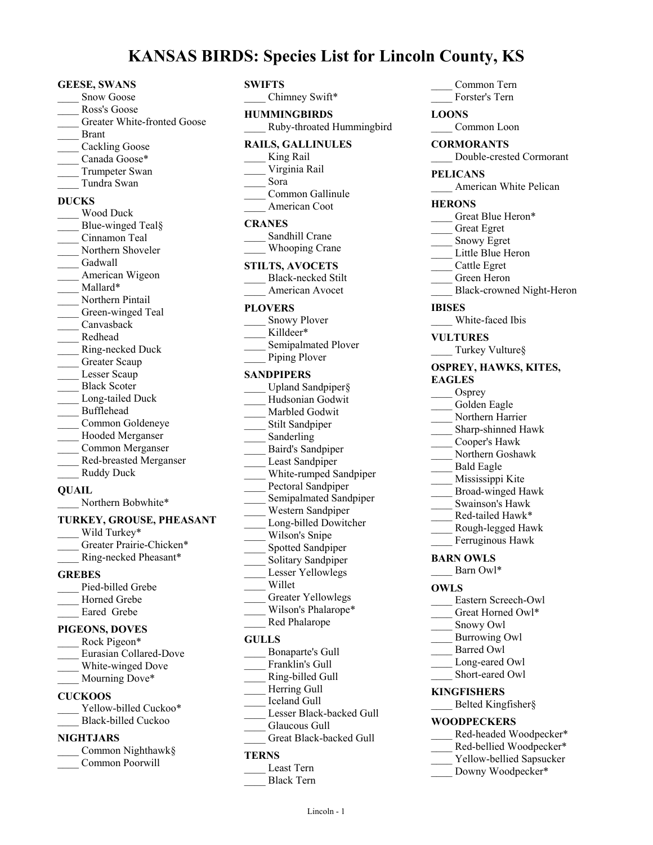# **KANSAS BIRDS: Species List for Lincoln County, KS**

**GEESE, SWANS** Snow Goose \_\_\_\_ Ross's Goose Greater White-fronted Goose \_\_\_\_ Brant Cackling Goose Canada Goose\* \_\_\_\_ Trumpeter Swan \_\_\_\_ Tundra Swan **DUCKS** \_\_\_\_ Wood Duck Blue-winged Teal§ Cinnamon Teal Northern Shoveler Gadwall American Wigeon Mallard\* Northern Pintail Green-winged Teal Canvasback \_\_\_\_ Redhead \_\_\_\_ Ring-necked Duck Greater Scaup Lesser Scaup Black Scoter Long-tailed Duck \_\_\_\_ Bufflehead \_\_\_\_ Common Goldeneye \_\_\_\_ Hooded Merganser \_\_\_\_ Common Merganser \_\_\_\_ Red-breasted Merganser Ruddy Duck **QUAIL** Northern Bobwhite\*

#### **TURKEY, GROUSE, PHEASANT**

Wild Turkey\* Greater Prairie-Chicken\* \_\_\_\_ Ring-necked Pheasant\*

# **GREBES**

Pied-billed Grebe Horned Grebe Eared Grebe

#### **PIGEONS, DOVES**

| Rock Pigeon*           |
|------------------------|
| Eurasian Collared-Dove |
| White-winged Dove      |
| Mourning Dove*         |

#### **CUCKOOS**

| Yellow-billed Cuckoo* |
|-----------------------|
| Black-billed Cuckoo   |

# **NIGHTJARS**

| Common Nighthawk§ |
|-------------------|
| Common Poorwill   |

# **SWIFTS**

Chimney Swift\* **HUMMINGBIRDS** \_\_\_\_ Ruby-throated Hummingbird **RAILS, GALLINULES** King Rail \_\_\_\_ Virginia Rail \_\_\_\_ Sora Common Gallinule \_\_\_\_ American Coot **CRANES** Sandhill Crane Whooping Crane **STILTS, AVOCETS** Black-necked Stilt \_\_\_\_ American Avocet **PLOVERS** Snowy Plover Killdeer\* Semipalmated Plover Piping Plover **SANDPIPERS** Upland Sandpiper§ \_\_\_\_ Hudsonian Godwit Marbled Godwit Stilt Sandpiper Sanderling \_\_\_\_ Baird's Sandpiper Least Sandpiper White-rumped Sandpiper Pectoral Sandpiper Semipalmated Sandpiper \_\_\_\_ Western Sandpiper Long-billed Dowitcher Wilson's Snipe Spotted Sandpiper Solitary Sandpiper Lesser Yellowlegs \_\_\_\_ Willet Greater Yellowlegs Wilson's Phalarope\* \_\_\_\_ Red Phalarope **GULLS** \_\_\_\_ Bonaparte's Gull Franklin's Gull \_\_\_\_ Ring-billed Gull

\_\_\_\_ Common Tern \_\_\_\_ Forster's Tern **LOONS** Common Loon **CORMORANTS** \_\_\_\_ Double-crested Cormorant **PELICANS** American White Pelican **HERONS** Great Blue Heron\* \_\_\_\_ Great Egret Snowy Egret Little Blue Heron \_\_\_\_ Cattle Egret \_\_\_\_ Green Heron \_\_\_\_ Black-crowned Night-Heron **IBISES** White-faced Ibis **VULTURES** Turkey Vulture§ **OSPREY, HAWKS, KITES, EAGLES** Osprey Golden Eagle Northern Harrier Sharp-shinned Hawk \_\_\_\_ Cooper's Hawk \_\_\_\_ Northern Goshawk \_\_\_\_ Bald Eagle Mississippi Kite \_\_\_\_ Broad-winged Hawk \_\_\_\_ Swainson's Hawk \_\_\_\_ Red-tailed Hawk\* \_\_\_\_ Rough-legged Hawk Ferruginous Hawk **BARN OWLS** Barn Owl\* **OWLS** \_\_\_\_ Eastern Screech-Owl Great Horned Owl\* Snowy Owl \_\_\_\_ Burrowing Owl Barred Owl Long-eared Owl Short-eared Owl **KINGFISHERS** \_\_\_\_ Belted Kingfisher§ **WOODPECKERS** Red-headed Woodpecker\* Red-bellied Woodpecker\* Yellow-bellied Sapsucker Downy Woodpecker\*

Lesser Black-backed Gull

Great Black-backed Gull

Herring Gull \_\_\_\_ Iceland Gull

Glaucous Gull

\_\_\_\_ Least Tern \_\_\_\_ Black Tern

**TERNS**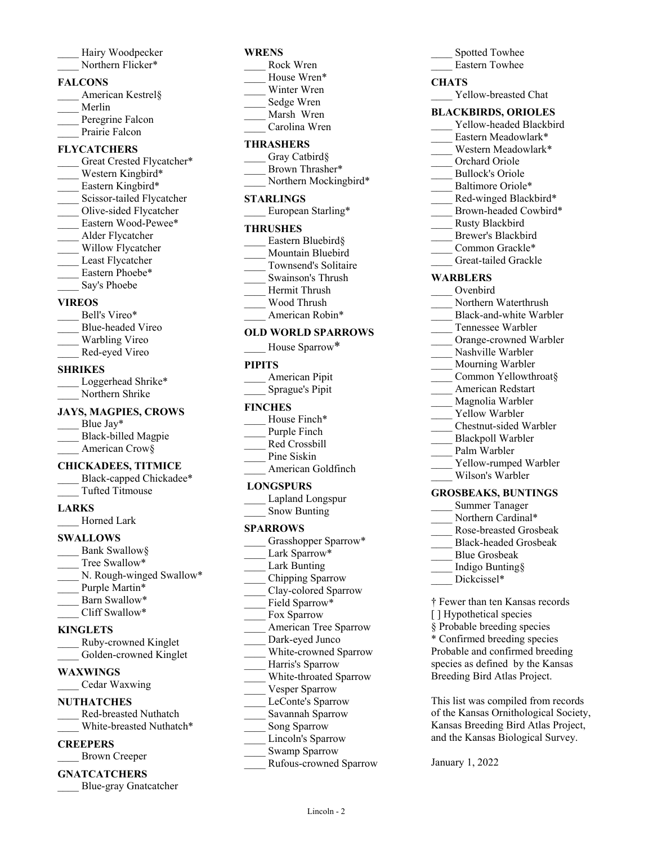| Hairy Woodpecker  |
|-------------------|
| Northern Flicker* |

#### **FALCONS**

| American Kestrel§ |
|-------------------|
| Merlin            |
| Peregrine Falcon  |
| Prairie Falcon    |

#### **FLYCATCHERS**

- Great Crested Flycatcher\* Western Kingbird\* Eastern Kingbird\* Scissor-tailed Flycatcher Olive-sided Flycatcher Eastern Wood-Pewee\* \_\_\_\_ Alder Flycatcher Willow Flycatcher Least Flycatcher Eastern Phoebe\*
- Say's Phoebe

## **VIREOS**

- Bell's Vireo\* \_\_\_\_ Blue-headed Vireo Warbling Vireo
- \_\_\_\_ Red-eyed Vireo

## **SHRIKES**

| Loggerhead Shrike* |
|--------------------|
| Northern Shrike    |

#### **JAYS, MAGPIES, CROWS**

| Blue $\text{Jav*}$  |
|---------------------|
| Black-billed Magpie |
| American Crow§      |

## **CHICKADEES, TITMICE**

| Black-capped Chickadee* |
|-------------------------|
| Tufted Titmouse         |

#### **LARKS**

\_\_\_\_ Horned Lark

## **SWALLOWS**

Bank Swallow§ Tree Swallow\* N. Rough-winged Swallow\* Purple Martin\* Barn Swallow\* Cliff Swallow\*

## **KINGLETS**

| Ruby-crowned Kinglet   |
|------------------------|
| Golden-crowned Kinglet |

## **WAXWINGS**

\_\_\_\_ Cedar Waxwing

# **NUTHATCHES**

\_\_\_\_ Red-breasted Nuthatch White-breasted Nuthatch\*

## **CREEPERS**

\_\_\_\_ Brown Creeper

# **GNATCATCHERS**

\_\_\_\_ Blue-gray Gnatcatcher

#### **WRENS**

- \_\_\_\_ Rock Wren House Wren\* Winter Wren \_\_\_\_ Sedge Wren
- Marsh Wren
- \_\_\_\_ Carolina Wren

# **THRASHERS**

- Gray Catbird§ Brown Thrasher\*
- Northern Mockingbird\*

## **STARLINGS**

European Starling\*

#### **THRUSHES**

- Eastern Bluebird§ Mountain Bluebird \_\_\_\_ Townsend's Solitaire \_\_\_\_ Swainson's Thrush
- \_\_\_\_ Hermit Thrush
- \_\_\_\_ Wood Thrush
- American Robin\*

## **OLD WORLD SPARROWS**

House Sparrow\*

## **PIPITS**

| American Pipit  |  |
|-----------------|--|
| Sprague's Pipit |  |

## **FINCHES**

- House Finch\*
- Purple Finch
- \_\_\_\_ Red Crossbill
- Pine Siskin
- American Goldfinch

## **LONGSPURS**

| Lapland Longspur    |
|---------------------|
| <b>Snow Bunting</b> |

## **SPARROWS**

Grasshopper Sparrow\* Lark Sparrow\* Lark Bunting \_\_\_\_ Chipping Sparrow \_\_\_\_ Clay-colored Sparrow Field Sparrow\* Fox Sparrow American Tree Sparrow Dark-eyed Junco White-crowned Sparrow Harris's Sparrow \_\_\_\_ White-throated Sparrow Vesper Sparrow LeConte's Sparrow \_\_\_\_ Savannah Sparrow Song Sparrow Lincoln's Sparrow Swamp Sparrow \_\_\_\_ Rufous-crowned Sparrow

Lincoln - 2

# Spotted Towhee \_\_\_\_ Eastern Towhee **CHATS** Yellow-breasted Chat

## **BLACKBIRDS, ORIOLES**

- Yellow-headed Blackbird
- Eastern Meadowlark\*
- Western Meadowlark\*
- \_\_\_\_ Orchard Oriole
- \_\_\_\_ Bullock's Oriole
- Baltimore Oriole\*
- Red-winged Blackbird\*
- Brown-headed Cowbird\*
- \_\_\_\_ Rusty Blackbird
- Brewer's Blackbird
	- Common Grackle\*
	- Great-tailed Grackle

# **WARBLERS**

- \_\_\_\_ Ovenbird
- Northern Waterthrush
- Black-and-white Warbler
- \_\_\_\_ Tennessee Warbler
- Orange-crowned Warbler
	- Nashville Warbler
- Mourning Warbler
- Common Yellowthroat§
- \_\_\_\_ American Redstart
- Magnolia Warbler
- Yellow Warbler
- \_\_\_\_ Chestnut-sided Warbler
- \_\_\_\_ Blackpoll Warbler
- Palm Warbler
- Yellow-rumped Warbler
- \_\_\_\_ Wilson's Warbler

## **GROSBEAKS, BUNTINGS**

- \_\_\_\_ Summer Tanager
- Northern Cardinal\*
- \_\_\_\_ Rose-breasted Grosbeak
- \_\_\_\_ Black-headed Grosbeak
- \_\_\_\_ Blue Grosbeak
- \_\_\_\_ Indigo Bunting§
- Dickcissel\*

January 1, 2022

- † Fewer than ten Kansas records
- [] Hypothetical species
- § Probable breeding species
- \* Confirmed breeding species Probable and confirmed breeding species as defined by the Kansas Breeding Bird Atlas Project.

This list was compiled from records of the Kansas Ornithological Society, Kansas Breeding Bird Atlas Project, and the Kansas Biological Survey.